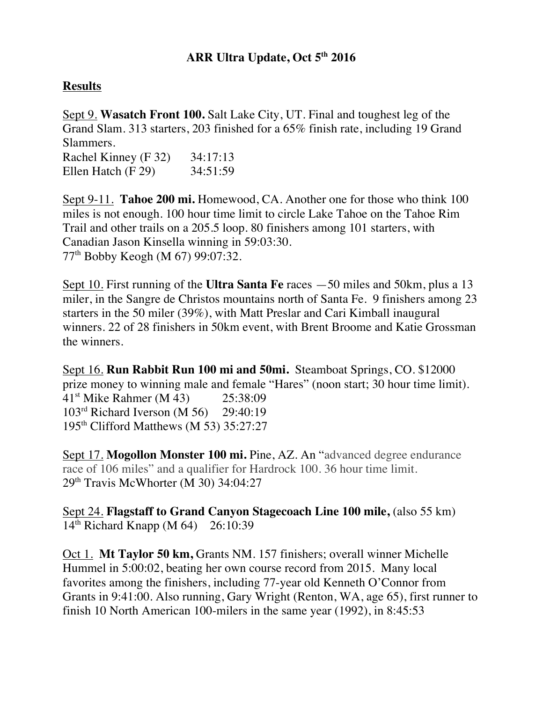# **ARR Ultra Update, Oct 5th 2016**

#### **Results**

Sept 9. **Wasatch Front 100.** Salt Lake City, UT. Final and toughest leg of the Grand Slam. 313 starters, 203 finished for a 65% finish rate, including 19 Grand Slammers.

Rachel Kinney (F 32) 34:17:13 Ellen Hatch (F 29) 34:51:59

Sept 9-11. **Tahoe 200 mi.** Homewood, CA. Another one for those who think 100 miles is not enough. 100 hour time limit to circle Lake Tahoe on the Tahoe Rim Trail and other trails on a 205.5 loop. 80 finishers among 101 starters, with Canadian Jason Kinsella winning in 59:03:30. 77th Bobby Keogh (M 67) 99:07:32.

Sept 10. First running of the **Ultra Santa Fe** races —50 miles and 50km, plus a 13 miler, in the Sangre de Christos mountains north of Santa Fe. 9 finishers among 23 starters in the 50 miler (39%), with Matt Preslar and Cari Kimball inaugural winners. 22 of 28 finishers in 50km event, with Brent Broome and Katie Grossman the winners.

Sept 16. **Run Rabbit Run 100 mi and 50mi.** Steamboat Springs, CO. \$12000 prize money to winning male and female "Hares" (noon start; 30 hour time limit). 41st Mike Rahmer (M 43) 25:38:09 103<sup>rd</sup> Richard Iverson (M 56) 29:40:19 195th Clifford Matthews (M 53) 35:27:27

Sept 17. **Mogollon Monster 100 mi.** Pine, AZ. An "advanced degree endurance race of 106 miles" and a qualifier for Hardrock 100. 36 hour time limit. 29<sup>th</sup> Travis McWhorter (M 30) 34:04:27

Sept 24. **Flagstaff to Grand Canyon Stagecoach Line 100 mile,** (also 55 km)  $14^{th}$  Richard Knapp (M 64) 26:10:39

Oct 1. **Mt Taylor 50 km,** Grants NM. 157 finishers; overall winner Michelle Hummel in 5:00:02, beating her own course record from 2015. Many local favorites among the finishers, including 77-year old Kenneth O'Connor from Grants in 9:41:00. Also running, Gary Wright (Renton, WA, age 65), first runner to finish 10 North American 100-milers in the same year (1992), in 8:45:53